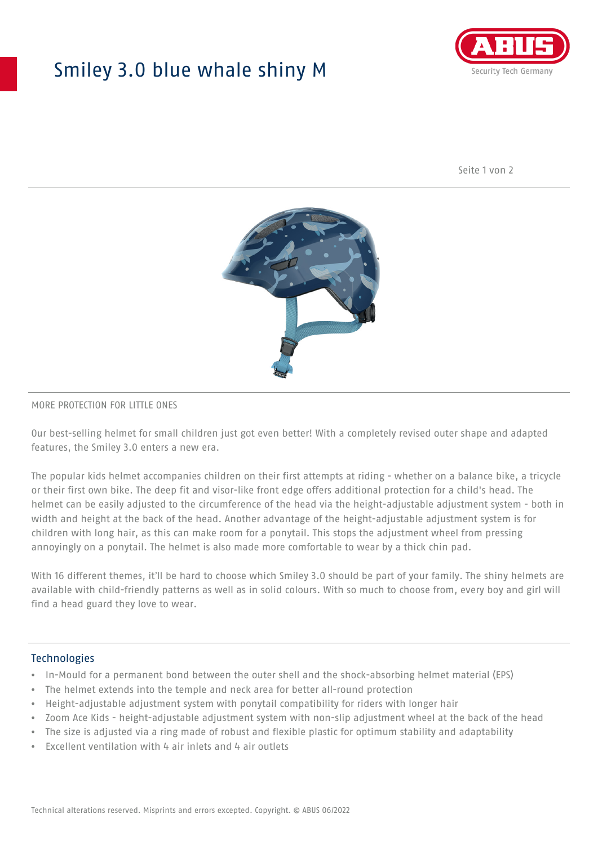## Smiley 3.0 blue whale shiny M



Seite 1 von 2



#### MORE PROTECTION FOR LITTLE ONES

Our best-selling helmet for small children just got even better! With a completely revised outer shape and adapted features, the Smiley 3.0 enters a new era.

The popular kids helmet accompanies children on their first attempts at riding - whether on a balance bike, a tricycle or their first own bike. The deep fit and visor-like front edge offers additional protection for a child's head. The helmet can be easily adjusted to the circumference of the head via the height-adjustable adjustment system - both in width and height at the back of the head. Another advantage of the height-adjustable adjustment system is for children with long hair, as this can make room for a ponytail. This stops the adjustment wheel from pressing annoyingly on a ponytail. The helmet is also made more comfortable to wear by a thick chin pad.

With 16 different themes, it'll be hard to choose which Smiley 3.0 should be part of your family. The shiny helmets are available with child-friendly patterns as well as in solid colours. With so much to choose from, every boy and girl will find a head guard they love to wear.

#### Technologies

- In-Mould for a permanent bond between the outer shell and the shock-absorbing helmet material (EPS)
- The helmet extends into the temple and neck area for better all-round protection
- Height-adjustable adjustment system with ponytail compatibility for riders with longer hair
- Zoom Ace Kids height-adjustable adjustment system with non-slip adjustment wheel at the back of the head
- The size is adjusted via a ring made of robust and flexible plastic for optimum stability and adaptability
- Excellent ventilation with 4 air inlets and 4 air outlets